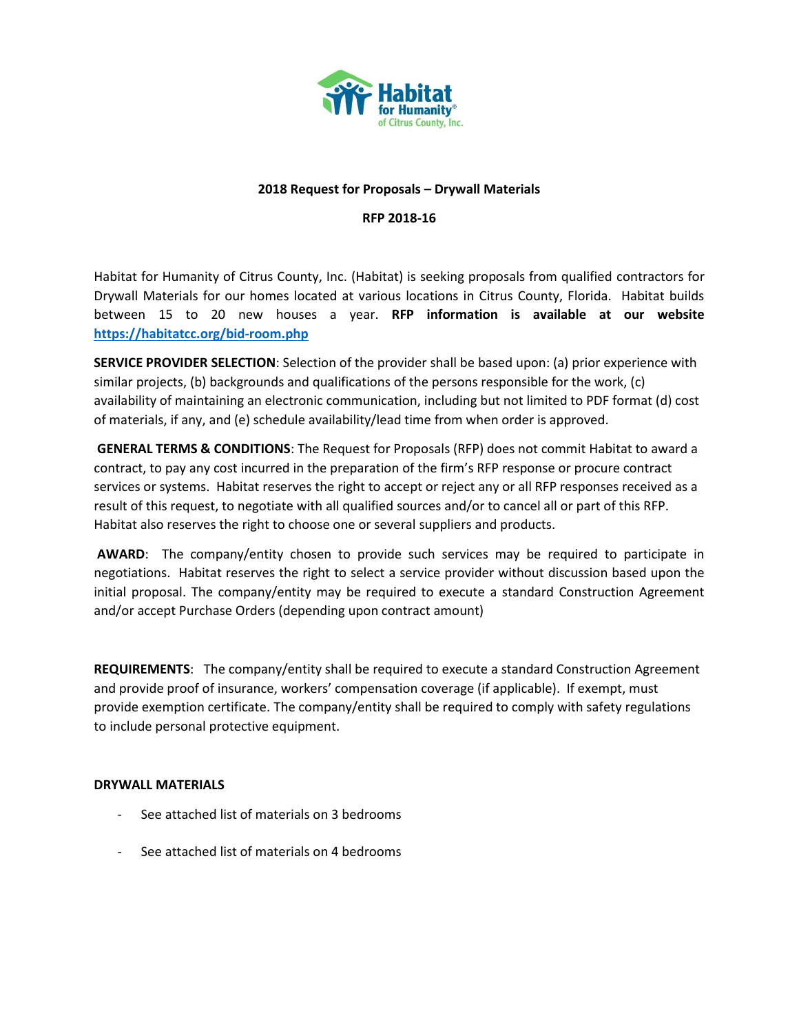

#### **2018 Request for Proposals – Drywall Materials**

#### **RFP 2018-16**

Habitat for Humanity of Citrus County, Inc. (Habitat) is seeking proposals from qualified contractors for Drywall Materials for our homes located at various locations in Citrus County, Florida. Habitat builds between 15 to 20 new houses a year. **RFP information is available at our website <https://habitatcc.org/bid-room.php>**

**SERVICE PROVIDER SELECTION**: Selection of the provider shall be based upon: (a) prior experience with similar projects, (b) backgrounds and qualifications of the persons responsible for the work, (c) availability of maintaining an electronic communication, including but not limited to PDF format (d) cost of materials, if any, and (e) schedule availability/lead time from when order is approved.

**GENERAL TERMS & CONDITIONS**: The Request for Proposals (RFP) does not commit Habitat to award a contract, to pay any cost incurred in the preparation of the firm's RFP response or procure contract services or systems. Habitat reserves the right to accept or reject any or all RFP responses received as a result of this request, to negotiate with all qualified sources and/or to cancel all or part of this RFP. Habitat also reserves the right to choose one or several suppliers and products.

**AWARD**: The company/entity chosen to provide such services may be required to participate in negotiations. Habitat reserves the right to select a service provider without discussion based upon the initial proposal. The company/entity may be required to execute a standard Construction Agreement and/or accept Purchase Orders (depending upon contract amount)

**REQUIREMENTS**: The company/entity shall be required to execute a standard Construction Agreement and provide proof of insurance, workers' compensation coverage (if applicable). If exempt, must provide exemption certificate. The company/entity shall be required to comply with safety regulations to include personal protective equipment.

#### **DRYWALL MATERIALS**

- See attached list of materials on 3 bedrooms
- See attached list of materials on 4 bedrooms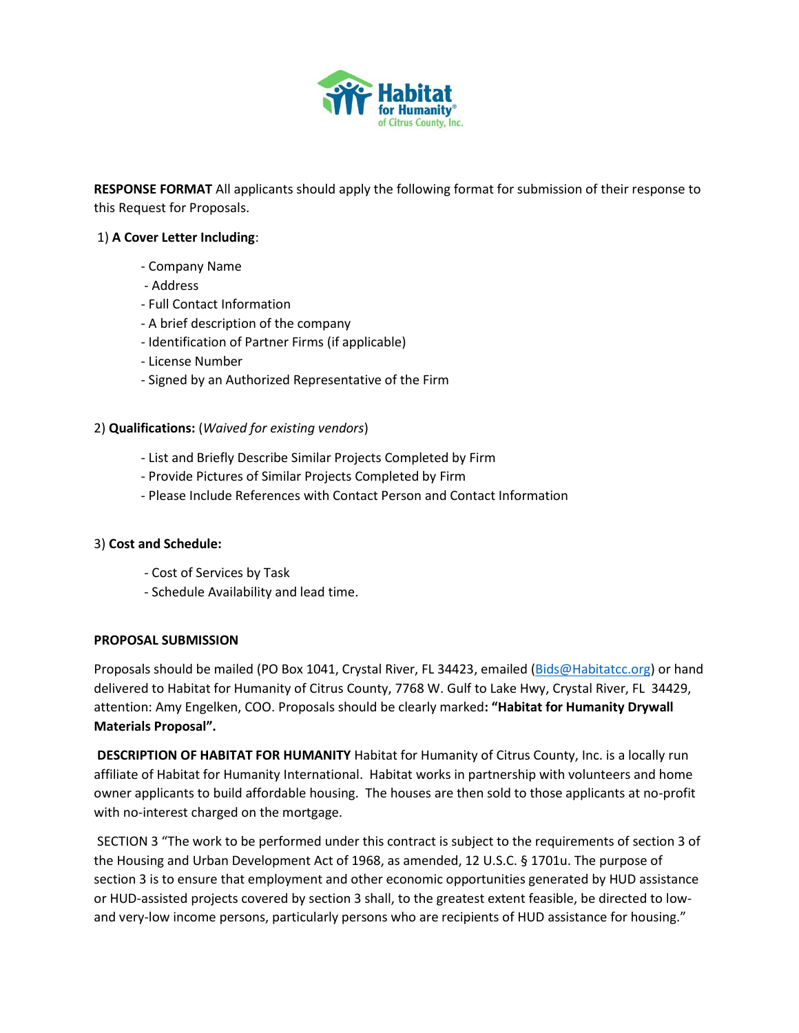

**RESPONSE FORMAT** All applicants should apply the following format for submission of their response to this Request for Proposals.

## 1) **A Cover Letter Including**:

- Company Name
- Address
- Full Contact Information
- A brief description of the company
- Identification of Partner Firms (if applicable)
- License Number
- Signed by an Authorized Representative of the Firm

### 2) **Qualifications:** (*Waived for existing vendors*)

- List and Briefly Describe Similar Projects Completed by Firm
- Provide Pictures of Similar Projects Completed by Firm
- Please Include References with Contact Person and Contact Information

### 3) **Cost and Schedule:**

- Cost of Services by Task
- Schedule Availability and lead time.

### **PROPOSAL SUBMISSION**

Proposals should be mailed (PO Box 1041, Crystal River, FL 34423, emailed [\(Bids@Habitatcc.org\)](mailto:Bids@Habitatcc.org) or hand delivered to Habitat for Humanity of Citrus County, 7768 W. Gulf to Lake Hwy, Crystal River, FL 34429, attention: Amy Engelken, COO. Proposals should be clearly marked**: "Habitat for Humanity Drywall Materials Proposal".** 

**DESCRIPTION OF HABITAT FOR HUMANITY** Habitat for Humanity of Citrus County, Inc. is a locally run affiliate of Habitat for Humanity International. Habitat works in partnership with volunteers and home owner applicants to build affordable housing. The houses are then sold to those applicants at no-profit with no-interest charged on the mortgage.

SECTION 3 "The work to be performed under this contract is subject to the requirements of section 3 of the Housing and Urban Development Act of 1968, as amended, 12 U.S.C. § 1701u. The purpose of section 3 is to ensure that employment and other economic opportunities generated by HUD assistance or HUD-assisted projects covered by section 3 shall, to the greatest extent feasible, be directed to lowand very-low income persons, particularly persons who are recipients of HUD assistance for housing."